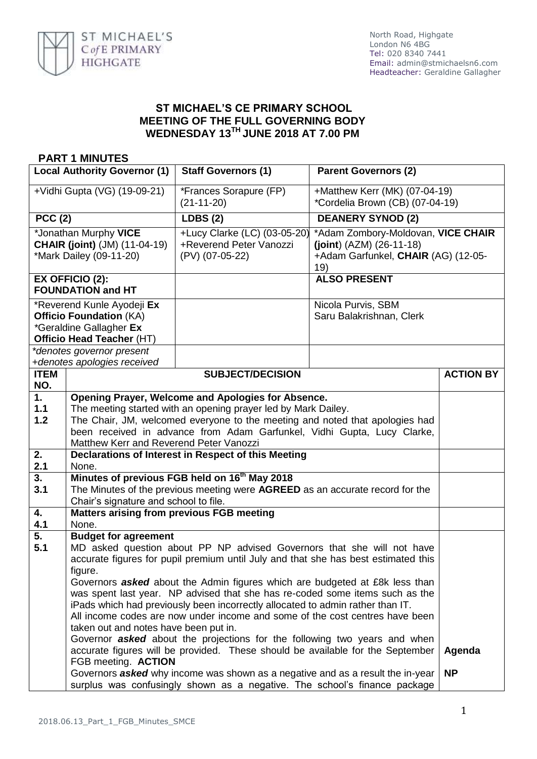

## **ST MICHAEL'S CE PRIMARY SCHOOL MEETING OF THE FULL GOVERNING BODY WEDNESDAY 13 TH JUNE 2018 AT 7.00 PM**

## **PART 1 MINUTES**

| <b>Local Authority Governor (1)</b>                                                                                                               |                                                                                                                                                                                                                                                                                                                                                                                                                                                                                                                                                                                                                                                                                                                                                                                                                                                                                                                                                     | <b>Staff Governors (1)</b>                                                 | <b>Parent Governors (2)</b>                                                                                    |                     |
|---------------------------------------------------------------------------------------------------------------------------------------------------|-----------------------------------------------------------------------------------------------------------------------------------------------------------------------------------------------------------------------------------------------------------------------------------------------------------------------------------------------------------------------------------------------------------------------------------------------------------------------------------------------------------------------------------------------------------------------------------------------------------------------------------------------------------------------------------------------------------------------------------------------------------------------------------------------------------------------------------------------------------------------------------------------------------------------------------------------------|----------------------------------------------------------------------------|----------------------------------------------------------------------------------------------------------------|---------------------|
| +Vidhi Gupta (VG) (19-09-21)                                                                                                                      |                                                                                                                                                                                                                                                                                                                                                                                                                                                                                                                                                                                                                                                                                                                                                                                                                                                                                                                                                     | *Frances Sorapure (FP)<br>$(21-11-20)$                                     | +Matthew Kerr (MK) (07-04-19)<br>*Cordelia Brown (CB) (07-04-19)                                               |                     |
| <b>PCC (2)</b>                                                                                                                                    |                                                                                                                                                                                                                                                                                                                                                                                                                                                                                                                                                                                                                                                                                                                                                                                                                                                                                                                                                     | <b>LDBS (2)</b>                                                            | <b>DEANERY SYNOD (2)</b>                                                                                       |                     |
| *Jonathan Murphy VICE<br><b>CHAIR (joint)</b> (JM) (11-04-19)<br>*Mark Dailey (09-11-20)                                                          |                                                                                                                                                                                                                                                                                                                                                                                                                                                                                                                                                                                                                                                                                                                                                                                                                                                                                                                                                     | +Lucy Clarke (LC) (03-05-20)<br>+Reverend Peter Vanozzi<br>(PV) (07-05-22) | *Adam Zombory-Moldovan, VICE CHAIR<br>$(joint) (AZM) (26-11-18)$<br>+Adam Garfunkel, CHAIR (AG) (12-05-<br>19) |                     |
| EX OFFICIO (2):<br><b>FOUNDATION and HT</b>                                                                                                       |                                                                                                                                                                                                                                                                                                                                                                                                                                                                                                                                                                                                                                                                                                                                                                                                                                                                                                                                                     |                                                                            | <b>ALSO PRESENT</b>                                                                                            |                     |
| *Reverend Kunle Ayodeji Ex<br><b>Officio Foundation (KA)</b><br>*Geraldine Gallagher Ex<br>Officio Head Teacher (HT)<br>*denotes governor present |                                                                                                                                                                                                                                                                                                                                                                                                                                                                                                                                                                                                                                                                                                                                                                                                                                                                                                                                                     |                                                                            | Nicola Purvis, SBM<br>Saru Balakrishnan, Clerk                                                                 |                     |
| <b>ITEM</b>                                                                                                                                       | +denotes apologies received                                                                                                                                                                                                                                                                                                                                                                                                                                                                                                                                                                                                                                                                                                                                                                                                                                                                                                                         | <b>SUBJECT/DECISION</b>                                                    |                                                                                                                | <b>ACTION BY</b>    |
| NO.                                                                                                                                               |                                                                                                                                                                                                                                                                                                                                                                                                                                                                                                                                                                                                                                                                                                                                                                                                                                                                                                                                                     |                                                                            |                                                                                                                |                     |
| 1.<br>$1.1$<br>1.2                                                                                                                                | Opening Prayer, Welcome and Apologies for Absence.<br>The meeting started with an opening prayer led by Mark Dailey.<br>The Chair, JM, welcomed everyone to the meeting and noted that apologies had<br>been received in advance from Adam Garfunkel, Vidhi Gupta, Lucy Clarke,<br>Matthew Kerr and Reverend Peter Vanozzi                                                                                                                                                                                                                                                                                                                                                                                                                                                                                                                                                                                                                          |                                                                            |                                                                                                                |                     |
| 2.<br>2.1                                                                                                                                         | Declarations of Interest in Respect of this Meeting<br>None.                                                                                                                                                                                                                                                                                                                                                                                                                                                                                                                                                                                                                                                                                                                                                                                                                                                                                        |                                                                            |                                                                                                                |                     |
| 3.<br>3.1                                                                                                                                         | Minutes of previous FGB held on 16 <sup>th</sup> May 2018<br>The Minutes of the previous meeting were AGREED as an accurate record for the<br>Chair's signature and school to file.                                                                                                                                                                                                                                                                                                                                                                                                                                                                                                                                                                                                                                                                                                                                                                 |                                                                            |                                                                                                                |                     |
| 4.<br>4.1                                                                                                                                         | <b>Matters arising from previous FGB meeting</b><br>None.                                                                                                                                                                                                                                                                                                                                                                                                                                                                                                                                                                                                                                                                                                                                                                                                                                                                                           |                                                                            |                                                                                                                |                     |
| 5.<br>5.1                                                                                                                                         | <b>Budget for agreement</b><br>MD asked question about PP NP advised Governors that she will not have<br>accurate figures for pupil premium until July and that she has best estimated this<br>figure.<br>Governors <b>asked</b> about the Admin figures which are budgeted at £8k less than<br>was spent last year. NP advised that she has re-coded some items such as the<br>iPads which had previously been incorrectly allocated to admin rather than IT.<br>All income codes are now under income and some of the cost centres have been<br>taken out and notes have been put in.<br>Governor <b>asked</b> about the projections for the following two years and when<br>accurate figures will be provided. These should be available for the September<br>FGB meeting. ACTION<br>Governors asked why income was shown as a negative and as a result the in-year<br>surplus was confusingly shown as a negative. The school's finance package |                                                                            |                                                                                                                | Agenda<br><b>NP</b> |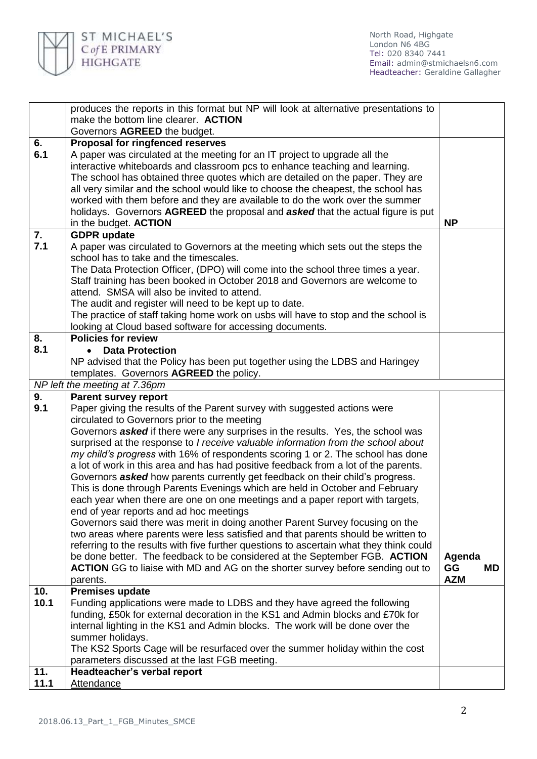

North Road, Highgate London N6 4BG Tel: 020 8340 7441 Email: [admin@stmichaelsn6.com](mailto:admin@stmichaelsn6.com) Headteacher: Geraldine Gallagher

| 10.<br>10.1 | end of year reports and ad hoc meetings<br>Governors said there was merit in doing another Parent Survey focusing on the<br>two areas where parents were less satisfied and that parents should be written to<br>referring to the results with five further questions to ascertain what they think could<br>be done better. The feedback to be considered at the September FGB. ACTION<br><b>ACTION</b> GG to liaise with MD and AG on the shorter survey before sending out to<br>parents.<br><b>Premises update</b><br>Funding applications were made to LDBS and they have agreed the following<br>funding, £50k for external decoration in the KS1 and Admin blocks and £70k for<br>internal lighting in the KS1 and Admin blocks. The work will be done over the<br>summer holidays.<br>The KS2 Sports Cage will be resurfaced over the summer holiday within the cost<br>parameters discussed at the last FGB meeting. | Agenda<br>GG<br>MD.<br><b>AZM</b> |
|-------------|------------------------------------------------------------------------------------------------------------------------------------------------------------------------------------------------------------------------------------------------------------------------------------------------------------------------------------------------------------------------------------------------------------------------------------------------------------------------------------------------------------------------------------------------------------------------------------------------------------------------------------------------------------------------------------------------------------------------------------------------------------------------------------------------------------------------------------------------------------------------------------------------------------------------------|-----------------------------------|
|             |                                                                                                                                                                                                                                                                                                                                                                                                                                                                                                                                                                                                                                                                                                                                                                                                                                                                                                                              |                                   |
|             |                                                                                                                                                                                                                                                                                                                                                                                                                                                                                                                                                                                                                                                                                                                                                                                                                                                                                                                              |                                   |
|             |                                                                                                                                                                                                                                                                                                                                                                                                                                                                                                                                                                                                                                                                                                                                                                                                                                                                                                                              |                                   |
|             |                                                                                                                                                                                                                                                                                                                                                                                                                                                                                                                                                                                                                                                                                                                                                                                                                                                                                                                              |                                   |
|             |                                                                                                                                                                                                                                                                                                                                                                                                                                                                                                                                                                                                                                                                                                                                                                                                                                                                                                                              |                                   |
|             |                                                                                                                                                                                                                                                                                                                                                                                                                                                                                                                                                                                                                                                                                                                                                                                                                                                                                                                              |                                   |
|             |                                                                                                                                                                                                                                                                                                                                                                                                                                                                                                                                                                                                                                                                                                                                                                                                                                                                                                                              |                                   |
|             |                                                                                                                                                                                                                                                                                                                                                                                                                                                                                                                                                                                                                                                                                                                                                                                                                                                                                                                              |                                   |
|             |                                                                                                                                                                                                                                                                                                                                                                                                                                                                                                                                                                                                                                                                                                                                                                                                                                                                                                                              |                                   |
|             |                                                                                                                                                                                                                                                                                                                                                                                                                                                                                                                                                                                                                                                                                                                                                                                                                                                                                                                              |                                   |
|             | each year when there are one on one meetings and a paper report with targets,                                                                                                                                                                                                                                                                                                                                                                                                                                                                                                                                                                                                                                                                                                                                                                                                                                                |                                   |
|             | This is done through Parents Evenings which are held in October and February                                                                                                                                                                                                                                                                                                                                                                                                                                                                                                                                                                                                                                                                                                                                                                                                                                                 |                                   |
|             | Governors asked how parents currently get feedback on their child's progress.                                                                                                                                                                                                                                                                                                                                                                                                                                                                                                                                                                                                                                                                                                                                                                                                                                                |                                   |
|             | a lot of work in this area and has had positive feedback from a lot of the parents.                                                                                                                                                                                                                                                                                                                                                                                                                                                                                                                                                                                                                                                                                                                                                                                                                                          |                                   |
|             | surprised at the response to I receive valuable information from the school about<br>my child's progress with 16% of respondents scoring 1 or 2. The school has done                                                                                                                                                                                                                                                                                                                                                                                                                                                                                                                                                                                                                                                                                                                                                         |                                   |
|             | Governors asked if there were any surprises in the results. Yes, the school was                                                                                                                                                                                                                                                                                                                                                                                                                                                                                                                                                                                                                                                                                                                                                                                                                                              |                                   |
|             | circulated to Governors prior to the meeting                                                                                                                                                                                                                                                                                                                                                                                                                                                                                                                                                                                                                                                                                                                                                                                                                                                                                 |                                   |
| 9.1         | Paper giving the results of the Parent survey with suggested actions were                                                                                                                                                                                                                                                                                                                                                                                                                                                                                                                                                                                                                                                                                                                                                                                                                                                    |                                   |
| 9.          | <b>Parent survey report</b>                                                                                                                                                                                                                                                                                                                                                                                                                                                                                                                                                                                                                                                                                                                                                                                                                                                                                                  |                                   |
|             | NP left the meeting at 7.36pm                                                                                                                                                                                                                                                                                                                                                                                                                                                                                                                                                                                                                                                                                                                                                                                                                                                                                                |                                   |
|             | templates. Governors AGREED the policy.                                                                                                                                                                                                                                                                                                                                                                                                                                                                                                                                                                                                                                                                                                                                                                                                                                                                                      |                                   |
|             | NP advised that the Policy has been put together using the LDBS and Haringey                                                                                                                                                                                                                                                                                                                                                                                                                                                                                                                                                                                                                                                                                                                                                                                                                                                 |                                   |
| 8.<br>8.1   | <b>Data Protection</b>                                                                                                                                                                                                                                                                                                                                                                                                                                                                                                                                                                                                                                                                                                                                                                                                                                                                                                       |                                   |
|             | looking at Cloud based software for accessing documents.<br><b>Policies for review</b>                                                                                                                                                                                                                                                                                                                                                                                                                                                                                                                                                                                                                                                                                                                                                                                                                                       |                                   |
|             | The practice of staff taking home work on usbs will have to stop and the school is                                                                                                                                                                                                                                                                                                                                                                                                                                                                                                                                                                                                                                                                                                                                                                                                                                           |                                   |
|             | The audit and register will need to be kept up to date.                                                                                                                                                                                                                                                                                                                                                                                                                                                                                                                                                                                                                                                                                                                                                                                                                                                                      |                                   |
|             | attend. SMSA will also be invited to attend.                                                                                                                                                                                                                                                                                                                                                                                                                                                                                                                                                                                                                                                                                                                                                                                                                                                                                 |                                   |
|             | Staff training has been booked in October 2018 and Governors are welcome to                                                                                                                                                                                                                                                                                                                                                                                                                                                                                                                                                                                                                                                                                                                                                                                                                                                  |                                   |
|             | The Data Protection Officer, (DPO) will come into the school three times a year.                                                                                                                                                                                                                                                                                                                                                                                                                                                                                                                                                                                                                                                                                                                                                                                                                                             |                                   |
|             | school has to take and the timescales.                                                                                                                                                                                                                                                                                                                                                                                                                                                                                                                                                                                                                                                                                                                                                                                                                                                                                       |                                   |
| 7.1         | A paper was circulated to Governors at the meeting which sets out the steps the                                                                                                                                                                                                                                                                                                                                                                                                                                                                                                                                                                                                                                                                                                                                                                                                                                              |                                   |
| 7.          | <b>GDPR</b> update                                                                                                                                                                                                                                                                                                                                                                                                                                                                                                                                                                                                                                                                                                                                                                                                                                                                                                           |                                   |
|             | holidays. Governors AGREED the proposal and asked that the actual figure is put<br>in the budget. <b>ACTION</b>                                                                                                                                                                                                                                                                                                                                                                                                                                                                                                                                                                                                                                                                                                                                                                                                              | <b>NP</b>                         |
|             | worked with them before and they are available to do the work over the summer                                                                                                                                                                                                                                                                                                                                                                                                                                                                                                                                                                                                                                                                                                                                                                                                                                                |                                   |
|             | all very similar and the school would like to choose the cheapest, the school has                                                                                                                                                                                                                                                                                                                                                                                                                                                                                                                                                                                                                                                                                                                                                                                                                                            |                                   |
|             | The school has obtained three quotes which are detailed on the paper. They are                                                                                                                                                                                                                                                                                                                                                                                                                                                                                                                                                                                                                                                                                                                                                                                                                                               |                                   |
|             | interactive whiteboards and classroom pcs to enhance teaching and learning.                                                                                                                                                                                                                                                                                                                                                                                                                                                                                                                                                                                                                                                                                                                                                                                                                                                  |                                   |
| 6.1         | A paper was circulated at the meeting for an IT project to upgrade all the                                                                                                                                                                                                                                                                                                                                                                                                                                                                                                                                                                                                                                                                                                                                                                                                                                                   |                                   |
| 6.          | <b>Proposal for ringfenced reserves</b>                                                                                                                                                                                                                                                                                                                                                                                                                                                                                                                                                                                                                                                                                                                                                                                                                                                                                      |                                   |
|             | make the bottom line clearer. ACTION<br>Governors AGREED the budget.                                                                                                                                                                                                                                                                                                                                                                                                                                                                                                                                                                                                                                                                                                                                                                                                                                                         |                                   |
|             |                                                                                                                                                                                                                                                                                                                                                                                                                                                                                                                                                                                                                                                                                                                                                                                                                                                                                                                              |                                   |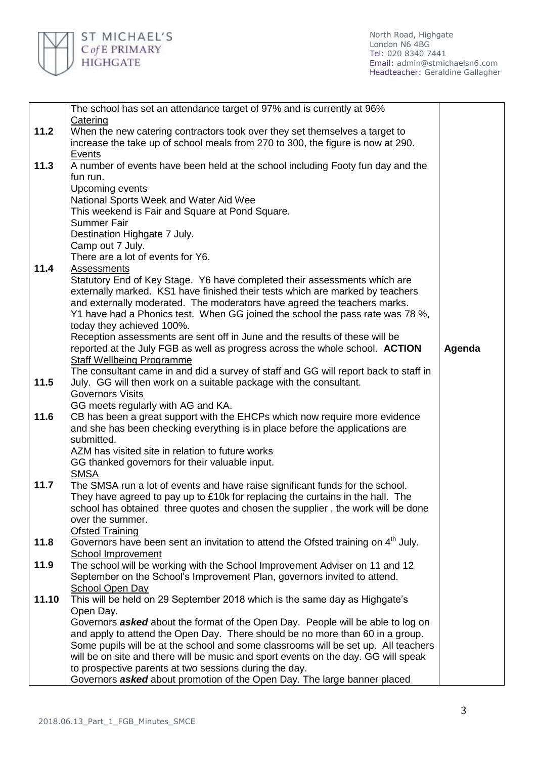

North Road, Highgate London N6 4BG Tel: 020 8340 7441 Email: [admin@stmichaelsn6.com](mailto:admin@stmichaelsn6.com) Headteacher: Geraldine Gallagher

|       | The school has set an attendance target of 97% and is currently at 96%                                                                                     |        |
|-------|------------------------------------------------------------------------------------------------------------------------------------------------------------|--------|
|       | Catering                                                                                                                                                   |        |
| 11.2  | When the new catering contractors took over they set themselves a target to                                                                                |        |
|       | increase the take up of school meals from 270 to 300, the figure is now at 290.                                                                            |        |
|       | <b>Events</b>                                                                                                                                              |        |
| 11.3  | A number of events have been held at the school including Footy fun day and the                                                                            |        |
|       | fun run.                                                                                                                                                   |        |
|       | Upcoming events                                                                                                                                            |        |
|       | National Sports Week and Water Aid Wee                                                                                                                     |        |
|       | This weekend is Fair and Square at Pond Square.                                                                                                            |        |
|       | <b>Summer Fair</b>                                                                                                                                         |        |
|       | Destination Highgate 7 July.                                                                                                                               |        |
|       | Camp out 7 July.                                                                                                                                           |        |
| 11.4  | There are a lot of events for Y6.                                                                                                                          |        |
|       | <b>Assessments</b>                                                                                                                                         |        |
|       | Statutory End of Key Stage. Y6 have completed their assessments which are<br>externally marked. KS1 have finished their tests which are marked by teachers |        |
|       | and externally moderated. The moderators have agreed the teachers marks.                                                                                   |        |
|       | Y1 have had a Phonics test. When GG joined the school the pass rate was 78 %,                                                                              |        |
|       | today they achieved 100%.                                                                                                                                  |        |
|       | Reception assessments are sent off in June and the results of these will be                                                                                |        |
|       | reported at the July FGB as well as progress across the whole school. ACTION                                                                               | Agenda |
|       | <b>Staff Wellbeing Programme</b>                                                                                                                           |        |
|       | The consultant came in and did a survey of staff and GG will report back to staff in                                                                       |        |
| 11.5  | July. GG will then work on a suitable package with the consultant.                                                                                         |        |
|       | <b>Governors Visits</b>                                                                                                                                    |        |
|       | GG meets regularly with AG and KA.                                                                                                                         |        |
| 11.6  | CB has been a great support with the EHCPs which now require more evidence                                                                                 |        |
|       | and she has been checking everything is in place before the applications are                                                                               |        |
|       | submitted.                                                                                                                                                 |        |
|       | AZM has visited site in relation to future works                                                                                                           |        |
|       | GG thanked governors for their valuable input.                                                                                                             |        |
| 11.7  | <b>SMSA</b><br>The SMSA run a lot of events and have raise significant funds for the school.                                                               |        |
|       | They have agreed to pay up to £10k for replacing the curtains in the hall. The                                                                             |        |
|       | school has obtained three quotes and chosen the supplier, the work will be done                                                                            |        |
|       | over the summer.                                                                                                                                           |        |
|       | <b>Ofsted Training</b>                                                                                                                                     |        |
| 11.8  | Governors have been sent an invitation to attend the Ofsted training on 4 <sup>th</sup> July.                                                              |        |
|       | School Improvement                                                                                                                                         |        |
| 11.9  | The school will be working with the School Improvement Adviser on 11 and 12                                                                                |        |
|       | September on the School's Improvement Plan, governors invited to attend.                                                                                   |        |
|       | <b>School Open Day</b>                                                                                                                                     |        |
| 11.10 | This will be held on 29 September 2018 which is the same day as Highgate's                                                                                 |        |
|       | Open Day.                                                                                                                                                  |        |
|       | Governors <b>asked</b> about the format of the Open Day. People will be able to log on                                                                     |        |
|       | and apply to attend the Open Day. There should be no more than 60 in a group.                                                                              |        |
|       | Some pupils will be at the school and some classrooms will be set up. All teachers                                                                         |        |
|       | will be on site and there will be music and sport events on the day. GG will speak                                                                         |        |
|       | to prospective parents at two sessions during the day.                                                                                                     |        |
|       | Governors asked about promotion of the Open Day. The large banner placed                                                                                   |        |